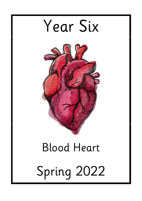

# Spring 2022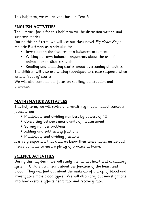This half-term, we will be very busy in Year 6.

#### **ENGLISH ACTIVITIES**

The Literacy focus for this half-term will be discussion writing and suspense stories.

During this half term, we will use our class novel Pig Heart Boy by Malorie Blackman as a stimulus for:

- Investigating the features of a balanced argument
- Writing our own balanced arguments about the use of animals for medical research
- Reading and analysing stories about overcoming difficulties

The children will also use writing techniques to create suspense when writing 'spooky' stories.

We will also continue our focus on spelling, punctuation and grammar.

## **MATHEMATICS ACTIVITIES**

This half term, we will revise and revisit key mathematical concepts, focusing on:

- Multiplying and dividing numbers by powers of 10
- Converting between metric units of measurement
- Solving number problems
- Adding and subtracting fractions
- Multiplying and dividing fractions

It is very important that children know their times tables inside-out! Please continue to ensure plenty of practice at home.

### **SCIENCE ACTIVITIES**

During this half-term, we will study the human heart and circulatory system. Children will learn about the function of the heart and blood. They will find out about the make-up of a drop of blood and investigate simple blood types. We will also carry out investigations into how exercise affects heart rate and recovery rate.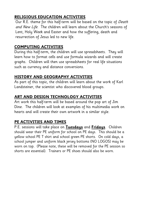#### **RELIGIOUS EDUCATION ACTIVITIES**

Our R.E. theme for this half-term will be based on the topic of Death and New Life. The children will learn about the Church's seasons of Lent, Holy Week and Easter and how the suffering, death and resurrection of Jesus led to new life.

### **COMPUTING ACTIVITIES**

During this half-term, the children will use spreadsheets. They will learn how to format cells and use formula wizards and will create graphs. Children will then use spreadsheets for real life situations such as currency and distance conversions.

### **HISTORY AND GEOGRAPHY ACTIVITIES**

As part of this topic, the children will learn about the work of Karl Landsteiner, the scientist who discovered blood groups.

## **ART AND DESIGN TECHNOLOGY ACTIVITIES**

Art work this half-term will be based around the pop art of Jim Dine. The children will look at examples of his multimedia work on hearts and will create their own artwork in a similar style.

### **PE ACTIVITIES AND TIMES**

P.E. sessions will take place on **Tuesdays** and **Fridays**. Children should wear their PE uniform for school on PE days. This should be a yellow school PE T shirt and school green PE shorts. On cold days, a school jumper and uniform black jersey bottoms (NO LOGOS) may be worn on top. (Please note, these will be removed for the PE session so shorts are essential). Trainers or PE shoes should also be worn.